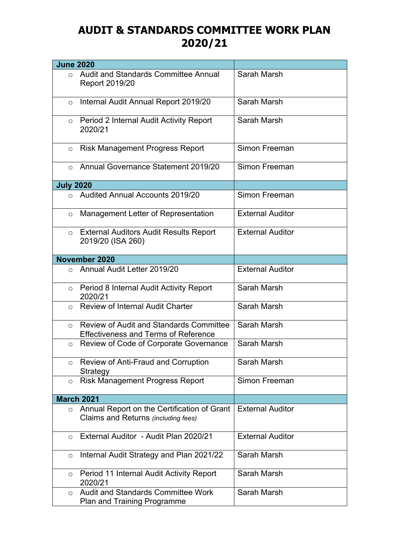## **AUDIT & STANDARDS COMMITTEE WORK PLAN 2020/21**

| <b>June 2020</b>  |                                                                                               |                         |
|-------------------|-----------------------------------------------------------------------------------------------|-------------------------|
| $\Omega$          | Audit and Standards Committee Annual<br>Report 2019/20                                        | Sarah Marsh             |
| $\circ$           | Internal Audit Annual Report 2019/20                                                          | Sarah Marsh             |
| $\circ$           | Period 2 Internal Audit Activity Report<br>2020/21                                            | Sarah Marsh             |
| $\circ$           | <b>Risk Management Progress Report</b>                                                        | Simon Freeman           |
| $\bigcirc$        | Annual Governance Statement 2019/20                                                           | Simon Freeman           |
| <b>July 2020</b>  |                                                                                               |                         |
| $\Omega$          | <b>Audited Annual Accounts 2019/20</b>                                                        | Simon Freeman           |
| $\circ$           | Management Letter of Representation                                                           | <b>External Auditor</b> |
| $\circ$           | <b>External Auditors Audit Results Report</b><br>2019/20 (ISA 260)                            | <b>External Auditor</b> |
|                   | November 2020                                                                                 |                         |
| $\bigcirc$        | Annual Audit Letter 2019/20                                                                   | <b>External Auditor</b> |
| $\circ$           | Period 8 Internal Audit Activity Report<br>2020/21                                            | Sarah Marsh             |
| $\bigcirc$        | <b>Review of Internal Audit Charter</b>                                                       | Sarah Marsh             |
| $\circ$           | <b>Review of Audit and Standards Committee</b><br><b>Effectiveness and Terms of Reference</b> | Sarah Marsh             |
| $\circ$           | Review of Code of Corporate Governance                                                        | Sarah Marsh             |
| $\circ$           | Review of Anti-Fraud and Corruption<br>Strategy                                               | Sarah Marsh             |
| $\circ$           | <b>Risk Management Progress Report</b>                                                        | Simon Freeman           |
| <b>March 2021</b> |                                                                                               |                         |
| $\circ$           | Annual Report on the Certification of Grant<br>Claims and Returns (including fees)            | <b>External Auditor</b> |
| $\circ$           | External Auditor - Audit Plan 2020/21                                                         | <b>External Auditor</b> |
| $\circ$           | Internal Audit Strategy and Plan 2021/22                                                      | Sarah Marsh             |
| $\circ$           | Period 11 Internal Audit Activity Report<br>2020/21                                           | Sarah Marsh             |
| $\circ$           | <b>Audit and Standards Committee Work</b><br><b>Plan and Training Programme</b>               | Sarah Marsh             |